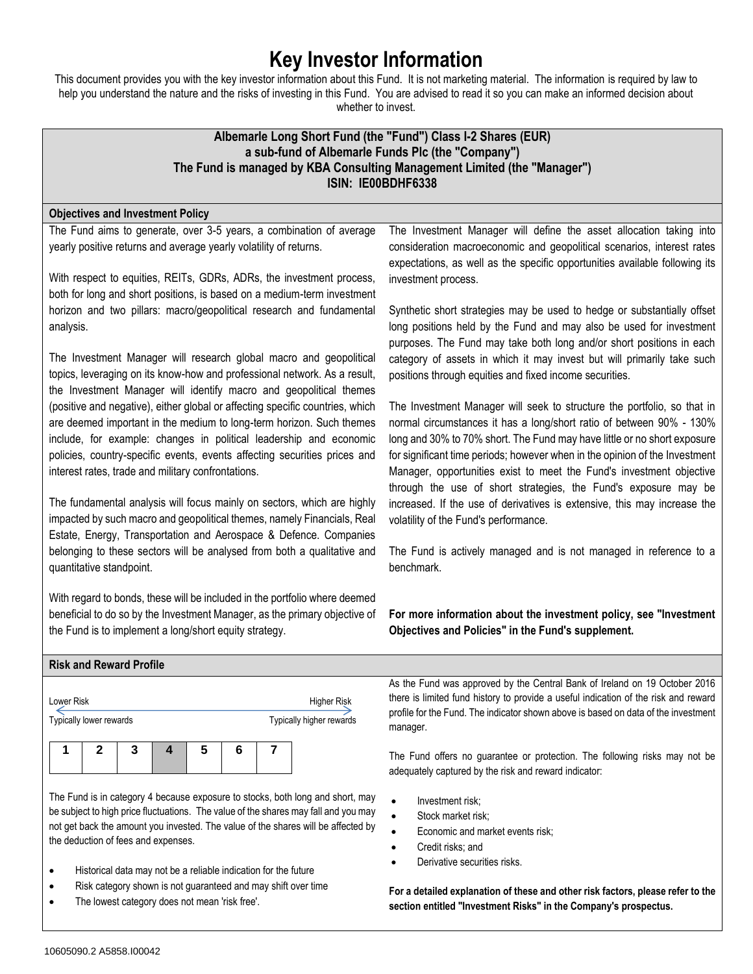# **Key Investor Information**

This document provides you with the key investor information about this Fund. It is not marketing material. The information is required by law to help you understand the nature and the risks of investing in this Fund. You are advised to read it so you can make an informed decision about whether to invest.

## **Albemarle Long Short Fund (the "Fund") Class I-2 Shares (EUR) a sub-fund of Albemarle Funds Plc (the "Company") The Fund is managed by KBA Consulting Management Limited (the "Manager") ISIN: IE00BDHF6338**

## **Objectives and Investment Policy**

The Fund aims to generate, over 3-5 years, a combination of average yearly positive returns and average yearly volatility of returns.

With respect to equities, REITs, GDRs, ADRs, the investment process, both for long and short positions, is based on a medium-term investment horizon and two pillars: macro/geopolitical research and fundamental analysis.

The Investment Manager will research global macro and geopolitical topics, leveraging on its know-how and professional network. As a result, the Investment Manager will identify macro and geopolitical themes (positive and negative), either global or affecting specific countries, which are deemed important in the medium to long-term horizon. Such themes include, for example: changes in political leadership and economic policies, country-specific events, events affecting securities prices and interest rates, trade and military confrontations.

The fundamental analysis will focus mainly on sectors, which are highly impacted by such macro and geopolitical themes, namely Financials, Real Estate, Energy, Transportation and Aerospace & Defence. Companies belonging to these sectors will be analysed from both a qualitative and quantitative standpoint.

With regard to bonds, these will be included in the portfolio where deemed beneficial to do so by the Investment Manager, as the primary objective of the Fund is to implement a long/short equity strategy.

The Investment Manager will define the asset allocation taking into consideration macroeconomic and geopolitical scenarios, interest rates expectations, as well as the specific opportunities available following its investment process.

Synthetic short strategies may be used to hedge or substantially offset long positions held by the Fund and may also be used for investment purposes. The Fund may take both long and/or short positions in each category of assets in which it may invest but will primarily take such positions through equities and fixed income securities.

The Investment Manager will seek to structure the portfolio, so that in normal circumstances it has a long/short ratio of between 90% - 130% long and 30% to 70% short. The Fund may have little or no short exposure for significant time periods; however when in the opinion of the Investment Manager, opportunities exist to meet the Fund's investment objective through the use of short strategies, the Fund's exposure may be increased. If the use of derivatives is extensive, this may increase the volatility of the Fund's performance.

The Fund is actively managed and is not managed in reference to a benchmark.

**For more information about the investment policy, see "Investment Objectives and Policies" in the Fund's supplement.**

| <b>Risk and Reward Profile</b>        |                                                |                                                                                     |
|---------------------------------------|------------------------------------------------|-------------------------------------------------------------------------------------|
|                                       |                                                | As the Fund was approved by the Central Bank of Ireland on 19 October 2016          |
| Lower Risk<br>Typically lower rewards | <b>Higher Risk</b><br>Typically higher rewards | there is limited fund history to provide a useful indication of the risk and reward |
|                                       |                                                | profile for the Fund. The indicator shown above is based on data of the investment  |
|                                       |                                                | manager.                                                                            |

The Fund offers no guarantee or protection. The following risks may not be adequately captured by the risk and reward indicator:

- Investment risk;
- Stock market risk:
- Economic and market events risk;
- Credit risks; and
- Derivative securities risks.
- **For a detailed explanation of these and other risk factors, please refer to the section entitled "Investment Risks" in the Company's prospectus.**

The Fund is in category 4 because exposure to stocks, both long and short, may

**1 2 3 4 5 6 7**

be subject to high price fluctuations. The value of the shares may fall and you may not get back the amount you invested. The value of the shares will be affected by the deduction of fees and expenses.

- Historical data may not be a reliable indication for the future
- Risk category shown is not guaranteed and may shift over time
- The lowest category does not mean 'risk free'.